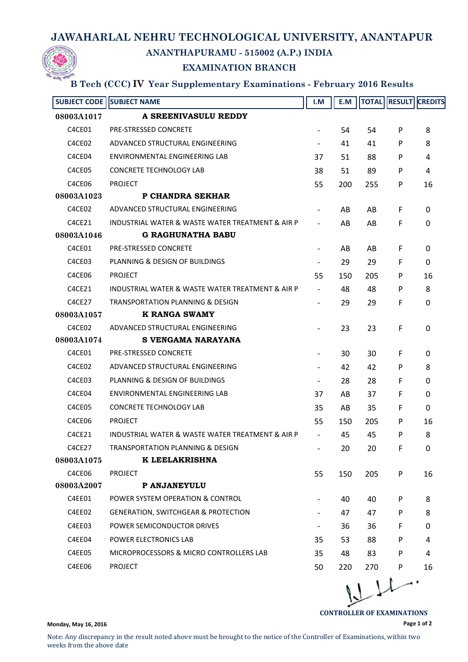## **JAWAHARLAL NEHRU TECHNOLOGICAL UNIVERSITY, ANANTAPUR**



## **ANANTHAPURAMU - 515002 (A.P.) INDIA**

## **EXAMINATION BRANCH**

## **B Tech (CCC) IV Year Supplementary Examinations - February 2016 Results**

| <b>SUBJECT CODE</b> | <b>SUBJECT NAME</b>                              | I.M                      | E.M |     |    | <b>TOTAL RESULT CREDITS</b> |
|---------------------|--------------------------------------------------|--------------------------|-----|-----|----|-----------------------------|
| 08003A1017          | A SREENIVASULU REDDY                             |                          |     |     |    |                             |
| C4CE01              | <b>PRE-STRESSED CONCRETE</b>                     |                          | 54  | 54  | P  | 8                           |
| C4CE02              | ADVANCED STRUCTURAL ENGINEERING                  |                          | 41  | 41  | P  | 8                           |
| C4CE04              | ENVIRONMENTAL ENGINEERING LAB                    | 37                       | 51  | 88  | P  | 4                           |
| C4CE05              | <b>CONCRETE TECHNOLOGY LAB</b>                   | 38                       | 51  | 89  | P  | 4                           |
| C4CE06              | <b>PROJECT</b>                                   | 55                       | 200 | 255 | P  | 16                          |
| 08003A1023          | P CHANDRA SEKHAR                                 |                          |     |     |    |                             |
| C4CE02              | ADVANCED STRUCTURAL ENGINEERING                  |                          | AB  | AB  | F  | 0                           |
| C4CE21              | INDUSTRIAL WATER & WASTE WATER TREATMENT & AIR P |                          | AB  | AB  | F  | 0                           |
| 08003A1046          | <b>G RAGHUNATHA BABU</b>                         |                          |     |     |    |                             |
| C4CE01              | <b>PRE-STRESSED CONCRETE</b>                     |                          | AB  | AB  | F  | 0                           |
| C4CE03              | PLANNING & DESIGN OF BUILDINGS                   |                          | 29  | 29  | F. | 0                           |
| C4CE06              | <b>PROJECT</b>                                   | 55                       | 150 | 205 | P  | 16                          |
| C4CE21              | INDUSTRIAL WATER & WASTE WATER TREATMENT & AIR P | $\overline{\phantom{a}}$ | 48  | 48  | P  | 8                           |
| C4CE27              | TRANSPORTATION PLANNING & DESIGN                 |                          | 29  | 29  | F  | $\Omega$                    |
| 08003A1057          | K RANGA SWAMY                                    |                          |     |     |    |                             |
| C4CE02              | ADVANCED STRUCTURAL ENGINEERING                  |                          | 23  | 23  | F  | $\Omega$                    |
| 08003A1074          | S VENGAMA NARAYANA                               |                          |     |     |    |                             |
| C4CE01              | <b>PRE-STRESSED CONCRETE</b>                     |                          | 30  | 30  | F  | 0                           |
| C4CE02              | ADVANCED STRUCTURAL ENGINEERING                  |                          | 42  | 42  | P  | 8                           |
| C4CE03              | PLANNING & DESIGN OF BUILDINGS                   |                          | 28  | 28  | F  | 0                           |
| C4CE04              | ENVIRONMENTAL ENGINEERING LAB                    | 37                       | AB  | 37  | F. | 0                           |
| C4CE05              | <b>CONCRETE TECHNOLOGY LAB</b>                   | 35                       | AB  | 35  | F  | 0                           |
| C4CE06              | <b>PROJECT</b>                                   | 55                       | 150 | 205 | P  | 16                          |
| C4CE21              | INDUSTRIAL WATER & WASTE WATER TREATMENT & AIR P | $\overline{\phantom{a}}$ | 45  | 45  | P  | 8                           |
| C4CE27              | TRANSPORTATION PLANNING & DESIGN                 |                          | 20  | 20  | F  | 0                           |
| 08003A1075          | K LEELAKRISHNA                                   |                          |     |     |    |                             |
| C4CE06              | <b>PROJECT</b>                                   | 55                       | 150 | 205 | P  | 16                          |
| 08003A2007          | P ANJANEYULU                                     |                          |     |     |    |                             |
| C4EE01              | POWER SYSTEM OPERATION & CONTROL                 |                          | 40  | 40  | P  | 8                           |
| C4EE02              | <b>GENERATION, SWITCHGEAR &amp; PROTECTION</b>   |                          | 47  | 47  | P  | 8                           |
| C4EE03              | POWER SEMICONDUCTOR DRIVES                       | $\overline{\phantom{a}}$ | 36  | 36  | F  | 0                           |
| C4EE04              | POWER ELECTRONICS LAB                            | 35                       | 53  | 88  | P  | 4                           |
| C4EE05              | MICROPROCESSORS & MICRO CONTROLLERS LAB          | 35                       | 48  | 83  | P  | 4                           |
| C4EE06              | <b>PROJECT</b>                                   | 50                       | 220 | 270 | P  | 16                          |
|                     |                                                  |                          |     |     |    |                             |

 $L_{\mathcal{V}}$ .

**Page 1 of 2**

**CONTROLLER OF EXAMINATIONS**

**Monday, May 16, 2016**